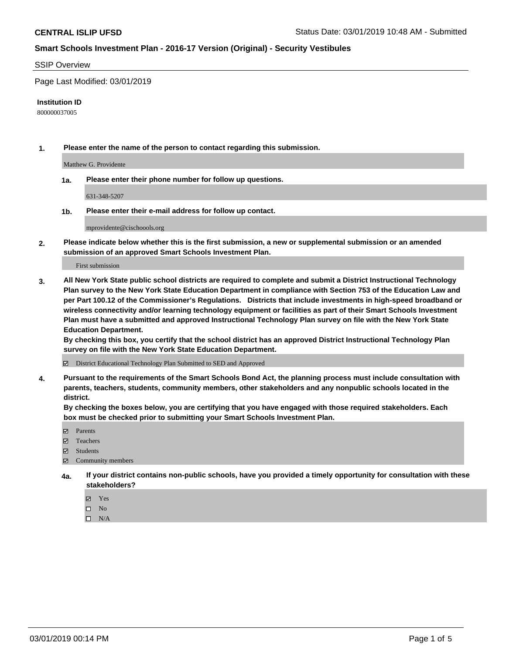### SSIP Overview

Page Last Modified: 03/01/2019

#### **Institution ID**

800000037005

**1. Please enter the name of the person to contact regarding this submission.**

Matthew G. Providente

**1a. Please enter their phone number for follow up questions.**

631-348-5207

**1b. Please enter their e-mail address for follow up contact.**

mprovidente@cischoools.org

**2. Please indicate below whether this is the first submission, a new or supplemental submission or an amended submission of an approved Smart Schools Investment Plan.**

First submission

**3. All New York State public school districts are required to complete and submit a District Instructional Technology Plan survey to the New York State Education Department in compliance with Section 753 of the Education Law and per Part 100.12 of the Commissioner's Regulations. Districts that include investments in high-speed broadband or wireless connectivity and/or learning technology equipment or facilities as part of their Smart Schools Investment Plan must have a submitted and approved Instructional Technology Plan survey on file with the New York State Education Department.** 

**By checking this box, you certify that the school district has an approved District Instructional Technology Plan survey on file with the New York State Education Department.**

District Educational Technology Plan Submitted to SED and Approved

**4. Pursuant to the requirements of the Smart Schools Bond Act, the planning process must include consultation with parents, teachers, students, community members, other stakeholders and any nonpublic schools located in the district.** 

**By checking the boxes below, you are certifying that you have engaged with those required stakeholders. Each box must be checked prior to submitting your Smart Schools Investment Plan.**

- **□** Parents
- Teachers
- Students
- $\boxtimes$  Community members
- **4a. If your district contains non-public schools, have you provided a timely opportunity for consultation with these stakeholders?**
	- Yes
	- $\qquad \qquad$  No
	- $\square$  N/A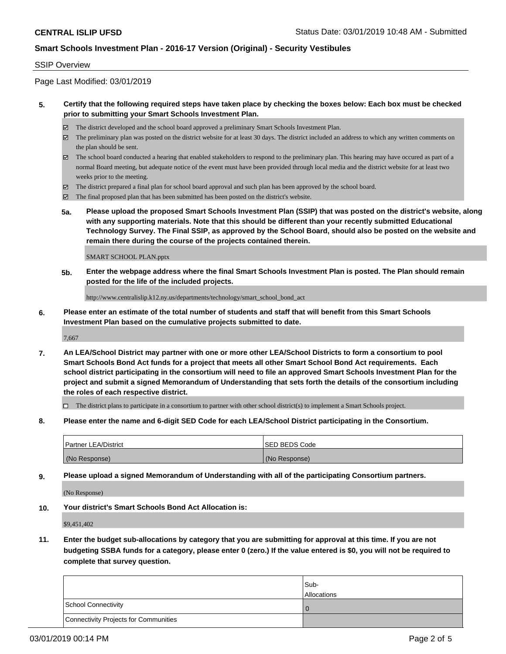### SSIP Overview

Page Last Modified: 03/01/2019

## **5. Certify that the following required steps have taken place by checking the boxes below: Each box must be checked prior to submitting your Smart Schools Investment Plan.**

- The district developed and the school board approved a preliminary Smart Schools Investment Plan.
- $\boxtimes$  The preliminary plan was posted on the district website for at least 30 days. The district included an address to which any written comments on the plan should be sent.
- $\boxtimes$  The school board conducted a hearing that enabled stakeholders to respond to the preliminary plan. This hearing may have occured as part of a normal Board meeting, but adequate notice of the event must have been provided through local media and the district website for at least two weeks prior to the meeting.
- The district prepared a final plan for school board approval and such plan has been approved by the school board.
- $\boxtimes$  The final proposed plan that has been submitted has been posted on the district's website.
- **5a. Please upload the proposed Smart Schools Investment Plan (SSIP) that was posted on the district's website, along with any supporting materials. Note that this should be different than your recently submitted Educational Technology Survey. The Final SSIP, as approved by the School Board, should also be posted on the website and remain there during the course of the projects contained therein.**

SMART SCHOOL PLAN.pptx

**5b. Enter the webpage address where the final Smart Schools Investment Plan is posted. The Plan should remain posted for the life of the included projects.**

http://www.centralislip.k12.ny.us/departments/technology/smart\_school\_bond\_act

**6. Please enter an estimate of the total number of students and staff that will benefit from this Smart Schools Investment Plan based on the cumulative projects submitted to date.**

7,667

**7. An LEA/School District may partner with one or more other LEA/School Districts to form a consortium to pool Smart Schools Bond Act funds for a project that meets all other Smart School Bond Act requirements. Each school district participating in the consortium will need to file an approved Smart Schools Investment Plan for the project and submit a signed Memorandum of Understanding that sets forth the details of the consortium including the roles of each respective district.**

 $\Box$  The district plans to participate in a consortium to partner with other school district(s) to implement a Smart Schools project.

**8. Please enter the name and 6-digit SED Code for each LEA/School District participating in the Consortium.**

| <b>Partner LEA/District</b> | <b>ISED BEDS Code</b> |
|-----------------------------|-----------------------|
| (No Response)               | (No Response)         |

**9. Please upload a signed Memorandum of Understanding with all of the participating Consortium partners.**

(No Response)

**10. Your district's Smart Schools Bond Act Allocation is:**

\$9,451,402

**11. Enter the budget sub-allocations by category that you are submitting for approval at this time. If you are not budgeting SSBA funds for a category, please enter 0 (zero.) If the value entered is \$0, you will not be required to complete that survey question.**

|                                              | Sub-<br><b>Allocations</b> |
|----------------------------------------------|----------------------------|
| <b>School Connectivity</b>                   |                            |
| <b>Connectivity Projects for Communities</b> |                            |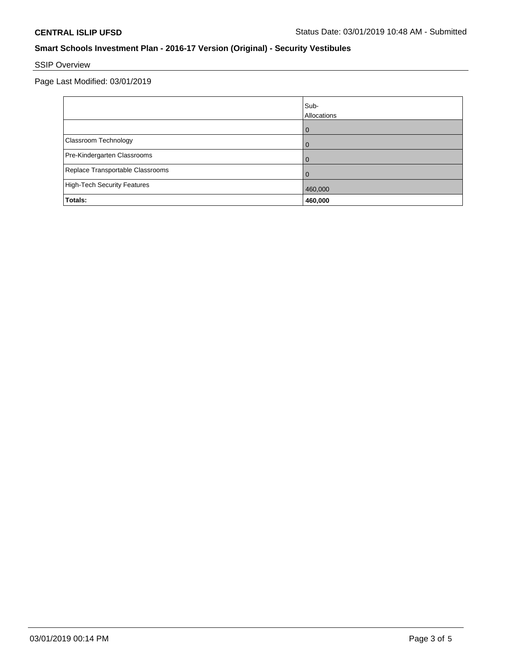# SSIP Overview

Page Last Modified: 03/01/2019

|                                  | Sub-<br>Allocations |
|----------------------------------|---------------------|
|                                  |                     |
| Classroom Technology             |                     |
| Pre-Kindergarten Classrooms      |                     |
| Replace Transportable Classrooms |                     |
| High-Tech Security Features      | 460,000             |
| Totals:                          | 460,000             |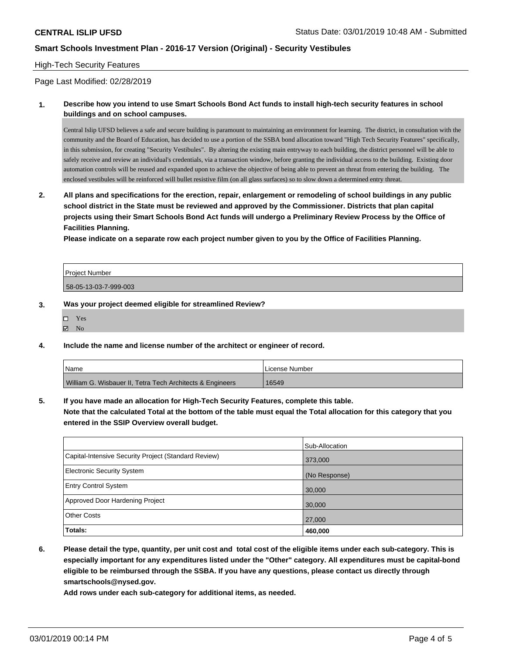### High-Tech Security Features

Page Last Modified: 02/28/2019

**1. Describe how you intend to use Smart Schools Bond Act funds to install high-tech security features in school buildings and on school campuses.**

Central Islip UFSD believes a safe and secure building is paramount to maintaining an environment for learning. The district, in consultation with the community and the Board of Education, has decided to use a portion of the SSBA bond allocation toward "High Tech Security Features" specifically, in this submission, for creating "Security Vestibules". By altering the existing main entryway to each building, the district personnel will be able to safely receive and review an individual's credentials, via a transaction window, before granting the individual access to the building. Existing door automation controls will be reused and expanded upon to achieve the objective of being able to prevent an threat from entering the building. The enclosed vestibules will be reinforced will bullet resistive film (on all glass surfaces) so to slow down a determined entry threat.

**2. All plans and specifications for the erection, repair, enlargement or remodeling of school buildings in any public school district in the State must be reviewed and approved by the Commissioner. Districts that plan capital projects using their Smart Schools Bond Act funds will undergo a Preliminary Review Process by the Office of Facilities Planning.** 

**Please indicate on a separate row each project number given to you by the Office of Facilities Planning.**

| <b>Project Number</b> |  |
|-----------------------|--|
| 58-05-13-03-7-999-003 |  |

#### **3. Was your project deemed eligible for streamlined Review?**

| D  | <b>Yes</b> |  |
|----|------------|--|
| 1⊽ | - No       |  |

**4. Include the name and license number of the architect or engineer of record.**

| <i>N</i> ame                                              | . License Number |
|-----------------------------------------------------------|------------------|
| William G. Wisbauer II, Tetra Tech Architects & Engineers | 16549            |

**5. If you have made an allocation for High-Tech Security Features, complete this table. Note that the calculated Total at the bottom of the table must equal the Total allocation for this category that you entered in the SSIP Overview overall budget.**

| Totals:                                              | 460,000        |
|------------------------------------------------------|----------------|
| <b>Other Costs</b>                                   | 27,000         |
| Approved Door Hardening Project                      | 30,000         |
| <b>Entry Control System</b>                          | 30,000         |
| Electronic Security System                           | (No Response)  |
| Capital-Intensive Security Project (Standard Review) | 373,000        |
|                                                      | Sub-Allocation |

**6. Please detail the type, quantity, per unit cost and total cost of the eligible items under each sub-category. This is especially important for any expenditures listed under the "Other" category. All expenditures must be capital-bond eligible to be reimbursed through the SSBA. If you have any questions, please contact us directly through smartschools@nysed.gov.**

**Add rows under each sub-category for additional items, as needed.**